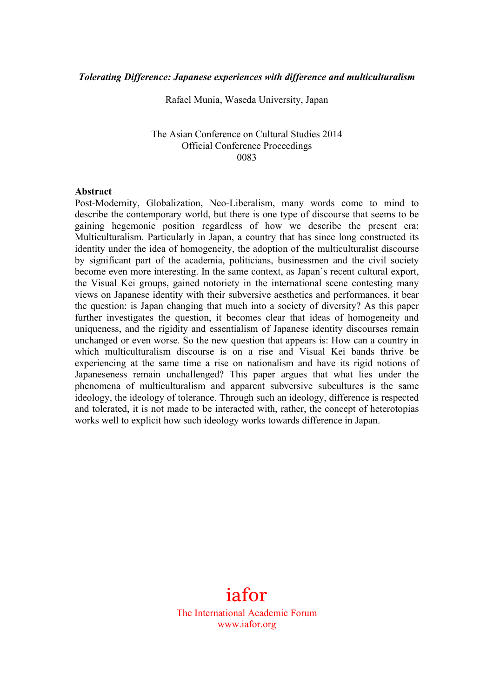Rafael Munia, Waseda University, Japan

#### The Asian Conference on Cultural Studies 2014 Official Conference Proceedings 0083

#### **Abstract**

Post-Modernity, Globalization, Neo-Liberalism, many words come to mind to describe the contemporary world, but there is one type of discourse that seems to be gaining hegemonic position regardless of how we describe the present era: Multiculturalism. Particularly in Japan, a country that has since long constructed its identity under the idea of homogeneity, the adoption of the multiculturalist discourse by significant part of the academia, politicians, businessmen and the civil society become even more interesting. In the same context, as Japan`s recent cultural export, the Visual Kei groups, gained notoriety in the international scene contesting many views on Japanese identity with their subversive aesthetics and performances, it bear the question: is Japan changing that much into a society of diversity? As this paper further investigates the question, it becomes clear that ideas of homogeneity and uniqueness, and the rigidity and essentialism of Japanese identity discourses remain unchanged or even worse. So the new question that appears is: How can a country in which multiculturalism discourse is on a rise and Visual Kei bands thrive be experiencing at the same time a rise on nationalism and have its rigid notions of Japaneseness remain unchallenged? This paper argues that what lies under the phenomena of multiculturalism and apparent subversive subcultures is the same ideology, the ideology of tolerance. Through such an ideology, difference is respected and tolerated, it is not made to be interacted with, rather, the concept of heterotopias works well to explicit how such ideology works towards difference in Japan.

# iafor

The International Academic Forum www.iafor.org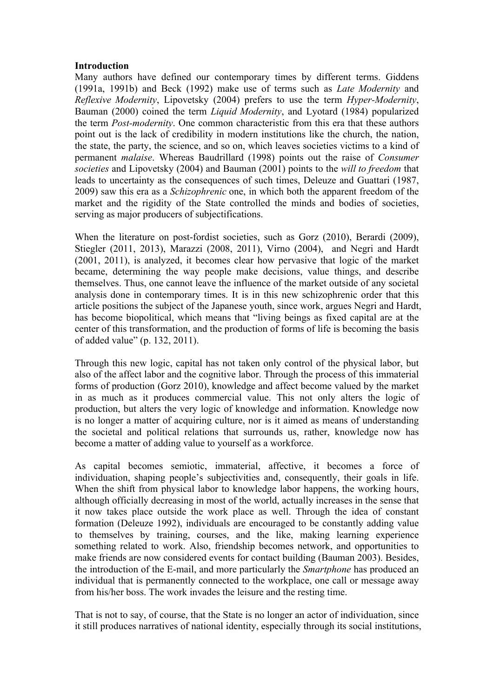### **Introduction**

Many authors have defined our contemporary times by different terms. Giddens (1991a, 1991b) and Beck (1992) make use of terms such as *Late Modernity* and *Reflexive Modernity*, Lipovetsky (2004) prefers to use the term *Hyper-Modernity*, Bauman (2000) coined the term *Liquid Modernity*, and Lyotard (1984) popularized the term *Post-modernity*. One common characteristic from this era that these authors point out is the lack of credibility in modern institutions like the church, the nation, the state, the party, the science, and so on, which leaves societies victims to a kind of permanent *malaise*. Whereas Baudrillard (1998) points out the raise of *Consumer societies* and Lipovetsky (2004) and Bauman (2001) points to the *will to freedom* that leads to uncertainty as the consequences of such times, Deleuze and Guattari (1987, 2009) saw this era as a *Schizophrenic* one, in which both the apparent freedom of the market and the rigidity of the State controlled the minds and bodies of societies, serving as major producers of subjectifications.

When the literature on post-fordist societies, such as Gorz (2010), Berardi (2009), Stiegler (2011, 2013), Marazzi (2008, 2011), Virno (2004), and Negri and Hardt (2001, 2011), is analyzed, it becomes clear how pervasive that logic of the market became, determining the way people make decisions, value things, and describe themselves. Thus, one cannot leave the influence of the market outside of any societal analysis done in contemporary times. It is in this new schizophrenic order that this article positions the subject of the Japanese youth, since work, argues Negri and Hardt, has become biopolitical, which means that "living beings as fixed capital are at the center of this transformation, and the production of forms of life is becoming the basis of added value" (p. 132, 2011).

Through this new logic, capital has not taken only control of the physical labor, but also of the affect labor and the cognitive labor. Through the process of this immaterial forms of production (Gorz 2010), knowledge and affect become valued by the market in as much as it produces commercial value. This not only alters the logic of production, but alters the very logic of knowledge and information. Knowledge now is no longer a matter of acquiring culture, nor is it aimed as means of understanding the societal and political relations that surrounds us, rather, knowledge now has become a matter of adding value to yourself as a workforce.

As capital becomes semiotic, immaterial, affective, it becomes a force of individuation, shaping people's subjectivities and, consequently, their goals in life. When the shift from physical labor to knowledge labor happens, the working hours, although officially decreasing in most of the world, actually increases in the sense that it now takes place outside the work place as well. Through the idea of constant formation (Deleuze 1992), individuals are encouraged to be constantly adding value to themselves by training, courses, and the like, making learning experience something related to work. Also, friendship becomes network, and opportunities to make friends are now considered events for contact building (Bauman 2003). Besides, the introduction of the E-mail, and more particularly the *Smartphone* has produced an individual that is permanently connected to the workplace, one call or message away from his/her boss. The work invades the leisure and the resting time.

That is not to say, of course, that the State is no longer an actor of individuation, since it still produces narratives of national identity, especially through its social institutions,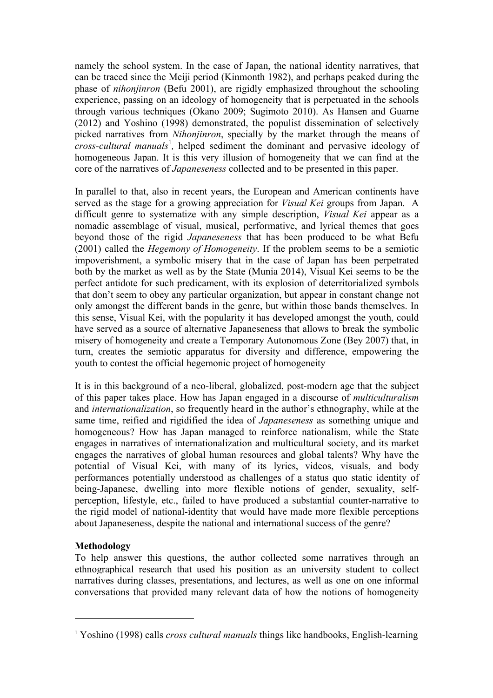namely the school system. In the case of Japan, the national identity narratives, that can be traced since the Meiji period (Kinmonth 1982), and perhaps peaked during the phase of *nihonjinron* (Befu 2001), are rigidly emphasized throughout the schooling experience, passing on an ideology of homogeneity that is perpetuated in the schools through various techniques (Okano 2009; Sugimoto 2010). As Hansen and Guarne (2012) and Yoshino (1998) demonstrated, the populist dissemination of selectively picked narratives from *Nihonjinron*, specially by the market through the means of *cross-cultural manuals*<sup>1</sup>, helped sediment the dominant and pervasive ideology of homogeneous Japan. It is this very illusion of homogeneity that we can find at the core of the narratives of *Japaneseness* collected and to be presented in this paper.

In parallel to that, also in recent years, the European and American continents have served as the stage for a growing appreciation for *Visual Kei* groups from Japan. A difficult genre to systematize with any simple description, *Visual Kei* appear as a nomadic assemblage of visual, musical, performative, and lyrical themes that goes beyond those of the rigid *Japaneseness* that has been produced to be what Befu (2001) called the *Hegemony of Homogeneity*. If the problem seems to be a semiotic impoverishment, a symbolic misery that in the case of Japan has been perpetrated both by the market as well as by the State (Munia 2014), Visual Kei seems to be the perfect antidote for such predicament, with its explosion of deterritorialized symbols that don't seem to obey any particular organization, but appear in constant change not only amongst the different bands in the genre, but within those bands themselves. In this sense, Visual Kei, with the popularity it has developed amongst the youth, could have served as a source of alternative Japaneseness that allows to break the symbolic misery of homogeneity and create a Temporary Autonomous Zone (Bey 2007) that, in turn, creates the semiotic apparatus for diversity and difference, empowering the youth to contest the official hegemonic project of homogeneity

It is in this background of a neo-liberal, globalized, post-modern age that the subject of this paper takes place. How has Japan engaged in a discourse of *multiculturalism* and *internationalization*, so frequently heard in the author's ethnography, while at the same time, reified and rigidified the idea of *Japaneseness* as something unique and homogeneous? How has Japan managed to reinforce nationalism, while the State engages in narratives of internationalization and multicultural society, and its market engages the narratives of global human resources and global talents? Why have the potential of Visual Kei, with many of its lyrics, videos, visuals, and body performances potentially understood as challenges of a status quo static identity of being-Japanese, dwelling into more flexible notions of gender, sexuality, selfperception, lifestyle, etc., failed to have produced a substantial counter-narrative to the rigid model of national-identity that would have made more flexible perceptions about Japaneseness, despite the national and international success of the genre?

# **Methodology**

 $\overline{a}$ 

To help answer this questions, the author collected some narratives through an ethnographical research that used his position as an university student to collect narratives during classes, presentations, and lectures, as well as one on one informal conversations that provided many relevant data of how the notions of homogeneity

<sup>1</sup> Yoshino (1998) calls *cross cultural manuals* things like handbooks, English-learning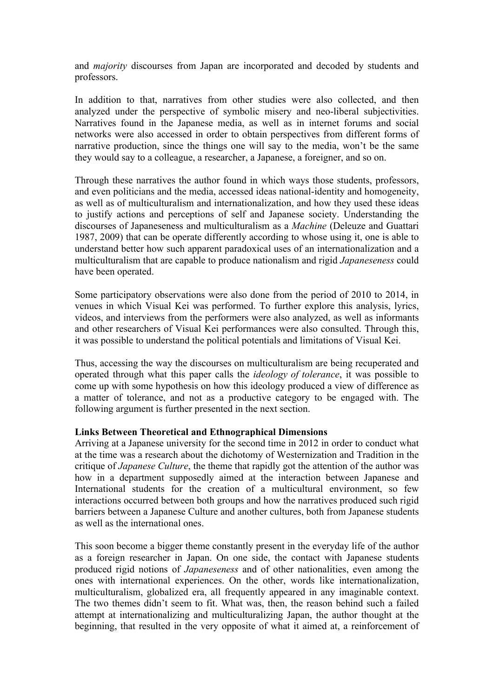and *majority* discourses from Japan are incorporated and decoded by students and professors.

In addition to that, narratives from other studies were also collected, and then analyzed under the perspective of symbolic misery and neo-liberal subjectivities. Narratives found in the Japanese media, as well as in internet forums and social networks were also accessed in order to obtain perspectives from different forms of narrative production, since the things one will say to the media, won't be the same they would say to a colleague, a researcher, a Japanese, a foreigner, and so on.

Through these narratives the author found in which ways those students, professors, and even politicians and the media, accessed ideas national-identity and homogeneity, as well as of multiculturalism and internationalization, and how they used these ideas to justify actions and perceptions of self and Japanese society. Understanding the discourses of Japaneseness and multiculturalism as a *Machine* (Deleuze and Guattari 1987, 2009) that can be operate differently according to whose using it, one is able to understand better how such apparent paradoxical uses of an internationalization and a multiculturalism that are capable to produce nationalism and rigid *Japaneseness* could have been operated.

Some participatory observations were also done from the period of 2010 to 2014, in venues in which Visual Kei was performed. To further explore this analysis, lyrics, videos, and interviews from the performers were also analyzed, as well as informants and other researchers of Visual Kei performances were also consulted. Through this, it was possible to understand the political potentials and limitations of Visual Kei.

Thus, accessing the way the discourses on multiculturalism are being recuperated and operated through what this paper calls the *ideology of tolerance*, it was possible to come up with some hypothesis on how this ideology produced a view of difference as a matter of tolerance, and not as a productive category to be engaged with. The following argument is further presented in the next section.

# **Links Between Theoretical and Ethnographical Dimensions**

Arriving at a Japanese university for the second time in 2012 in order to conduct what at the time was a research about the dichotomy of Westernization and Tradition in the critique of *Japanese Culture*, the theme that rapidly got the attention of the author was how in a department supposedly aimed at the interaction between Japanese and International students for the creation of a multicultural environment, so few interactions occurred between both groups and how the narratives produced such rigid barriers between a Japanese Culture and another cultures, both from Japanese students as well as the international ones.

This soon become a bigger theme constantly present in the everyday life of the author as a foreign researcher in Japan. On one side, the contact with Japanese students produced rigid notions of *Japaneseness* and of other nationalities, even among the ones with international experiences. On the other, words like internationalization, multiculturalism, globalized era, all frequently appeared in any imaginable context. The two themes didn't seem to fit. What was, then, the reason behind such a failed attempt at internationalizing and multiculturalizing Japan, the author thought at the beginning, that resulted in the very opposite of what it aimed at, a reinforcement of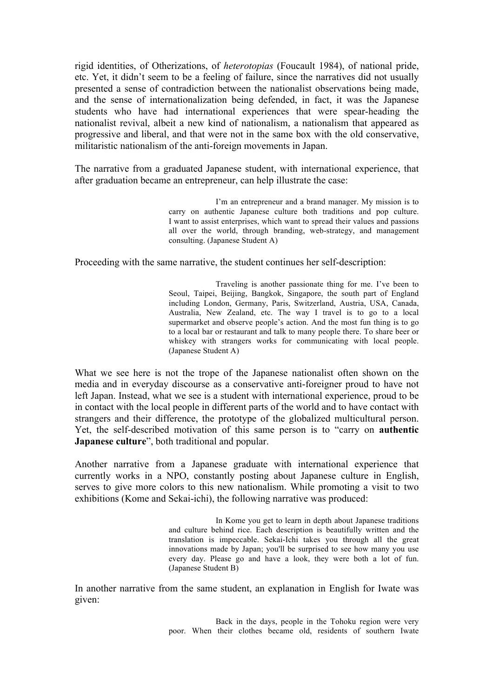rigid identities, of Otherizations, of *heterotopias* (Foucault 1984), of national pride, etc. Yet, it didn't seem to be a feeling of failure, since the narratives did not usually presented a sense of contradiction between the nationalist observations being made, and the sense of internationalization being defended, in fact, it was the Japanese students who have had international experiences that were spear-heading the nationalist revival, albeit a new kind of nationalism, a nationalism that appeared as progressive and liberal, and that were not in the same box with the old conservative, militaristic nationalism of the anti-foreign movements in Japan.

The narrative from a graduated Japanese student, with international experience, that after graduation became an entrepreneur, can help illustrate the case:

> I'm an entrepreneur and a brand manager. My mission is to carry on authentic Japanese culture both traditions and pop culture. I want to assist enterprises, which want to spread their values and passions all over the world, through branding, web-strategy, and management consulting. (Japanese Student A)

Proceeding with the same narrative, the student continues her self-description:

Traveling is another passionate thing for me. I've been to Seoul, Taipei, Beijing, Bangkok, Singapore, the south part of England including London, Germany, Paris, Switzerland, Austria, USA, Canada, Australia, New Zealand, etc. The way I travel is to go to a local supermarket and observe people's action. And the most fun thing is to go to a local bar or restaurant and talk to many people there. To share beer or whiskey with strangers works for communicating with local people. (Japanese Student A)

What we see here is not the trope of the Japanese nationalist often shown on the media and in everyday discourse as a conservative anti-foreigner proud to have not left Japan. Instead, what we see is a student with international experience, proud to be in contact with the local people in different parts of the world and to have contact with strangers and their difference, the prototype of the globalized multicultural person. Yet, the self-described motivation of this same person is to "carry on **authentic Japanese culture**", both traditional and popular.

Another narrative from a Japanese graduate with international experience that currently works in a NPO, constantly posting about Japanese culture in English, serves to give more colors to this new nationalism. While promoting a visit to two exhibitions (Kome and Sekai-ichi), the following narrative was produced:

> In Kome you get to learn in depth about Japanese traditions and culture behind rice. Each description is beautifully written and the translation is impeccable. Sekai-Ichi takes you through all the great innovations made by Japan; you'll be surprised to see how many you use every day. Please go and have a look, they were both a lot of fun. (Japanese Student B)

In another narrative from the same student, an explanation in English for Iwate was given:

> Back in the days, people in the Tohoku region were very poor. When their clothes became old, residents of southern Iwate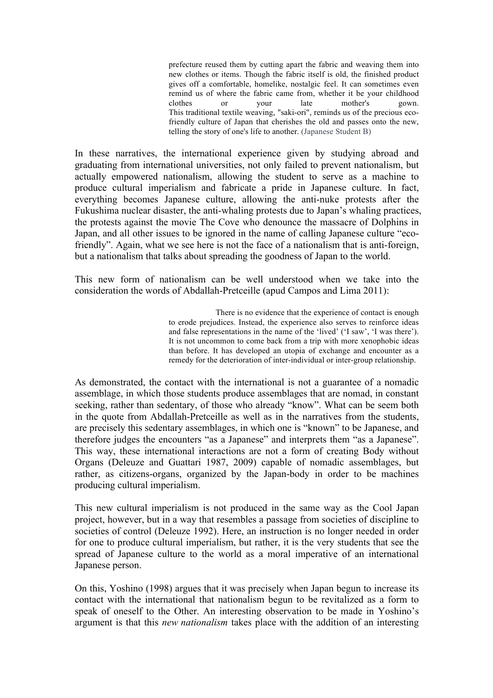prefecture reused them by cutting apart the fabric and weaving them into new clothes or items. Though the fabric itself is old, the finished product gives off a comfortable, homelike, nostalgic feel. It can sometimes even remind us of where the fabric came from, whether it be your childhood clothes or your late mother's gown. This traditional textile weaving, "saki-ori", reminds us of the precious ecofriendly culture of Japan that cherishes the old and passes onto the new, telling the story of one's life to another. (Japanese Student B)

In these narratives, the international experience given by studying abroad and graduating from international universities, not only failed to prevent nationalism, but actually empowered nationalism, allowing the student to serve as a machine to produce cultural imperialism and fabricate a pride in Japanese culture. In fact, everything becomes Japanese culture, allowing the anti-nuke protests after the Fukushima nuclear disaster, the anti-whaling protests due to Japan's whaling practices, the protests against the movie The Cove who denounce the massacre of Dolphins in Japan, and all other issues to be ignored in the name of calling Japanese culture "ecofriendly". Again, what we see here is not the face of a nationalism that is anti-foreign, but a nationalism that talks about spreading the goodness of Japan to the world.

This new form of nationalism can be well understood when we take into the consideration the words of Abdallah-Pretceille (apud Campos and Lima 2011):

> There is no evidence that the experience of contact is enough to erode prejudices. Instead, the experience also serves to reinforce ideas and false representations in the name of the 'lived' ('I saw', 'I was there'). It is not uncommon to come back from a trip with more xenophobic ideas than before. It has developed an utopia of exchange and encounter as a remedy for the deterioration of inter-individual or inter-group relationship.

As demonstrated, the contact with the international is not a guarantee of a nomadic assemblage, in which those students produce assemblages that are nomad, in constant seeking, rather than sedentary, of those who already "know". What can be seem both in the quote from Abdallah-Pretceille as well as in the narratives from the students, are precisely this sedentary assemblages, in which one is "known" to be Japanese, and therefore judges the encounters "as a Japanese" and interprets them "as a Japanese". This way, these international interactions are not a form of creating Body without Organs (Deleuze and Guattari 1987, 2009) capable of nomadic assemblages, but rather, as citizens-organs, organized by the Japan-body in order to be machines producing cultural imperialism.

This new cultural imperialism is not produced in the same way as the Cool Japan project, however, but in a way that resembles a passage from societies of discipline to societies of control (Deleuze 1992). Here, an instruction is no longer needed in order for one to produce cultural imperialism, but rather, it is the very students that see the spread of Japanese culture to the world as a moral imperative of an international Japanese person.

On this, Yoshino (1998) argues that it was precisely when Japan begun to increase its contact with the international that nationalism begun to be revitalized as a form to speak of oneself to the Other. An interesting observation to be made in Yoshino's argument is that this *new nationalism* takes place with the addition of an interesting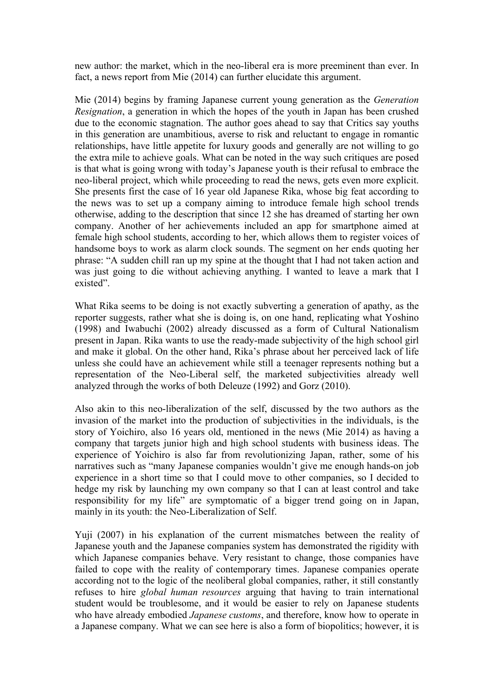new author: the market, which in the neo-liberal era is more preeminent than ever. In fact, a news report from Mie (2014) can further elucidate this argument.

Mie (2014) begins by framing Japanese current young generation as the *Generation Resignation*, a generation in which the hopes of the youth in Japan has been crushed due to the economic stagnation. The author goes ahead to say that Critics say youths in this generation are unambitious, averse to risk and reluctant to engage in romantic relationships, have little appetite for luxury goods and generally are not willing to go the extra mile to achieve goals. What can be noted in the way such critiques are posed is that what is going wrong with today's Japanese youth is their refusal to embrace the neo-liberal project, which while proceeding to read the news, gets even more explicit. She presents first the case of 16 year old Japanese Rika, whose big feat according to the news was to set up a company aiming to introduce female high school trends otherwise, adding to the description that since 12 she has dreamed of starting her own company. Another of her achievements included an app for smartphone aimed at female high school students, according to her, which allows them to register voices of handsome boys to work as alarm clock sounds. The segment on her ends quoting her phrase: "A sudden chill ran up my spine at the thought that I had not taken action and was just going to die without achieving anything. I wanted to leave a mark that I existed".

What Rika seems to be doing is not exactly subverting a generation of apathy, as the reporter suggests, rather what she is doing is, on one hand, replicating what Yoshino (1998) and Iwabuchi (2002) already discussed as a form of Cultural Nationalism present in Japan. Rika wants to use the ready-made subjectivity of the high school girl and make it global. On the other hand, Rika's phrase about her perceived lack of life unless she could have an achievement while still a teenager represents nothing but a representation of the Neo-Liberal self, the marketed subjectivities already well analyzed through the works of both Deleuze (1992) and Gorz (2010).

Also akin to this neo-liberalization of the self, discussed by the two authors as the invasion of the market into the production of subjectivities in the individuals, is the story of Yoichiro, also 16 years old, mentioned in the news (Mie 2014) as having a company that targets junior high and high school students with business ideas. The experience of Yoichiro is also far from revolutionizing Japan, rather, some of his narratives such as "many Japanese companies wouldn't give me enough hands-on job experience in a short time so that I could move to other companies, so I decided to hedge my risk by launching my own company so that I can at least control and take responsibility for my life" are symptomatic of a bigger trend going on in Japan, mainly in its youth: the Neo-Liberalization of Self.

Yuji (2007) in his explanation of the current mismatches between the reality of Japanese youth and the Japanese companies system has demonstrated the rigidity with which Japanese companies behave. Very resistant to change, those companies have failed to cope with the reality of contemporary times. Japanese companies operate according not to the logic of the neoliberal global companies, rather, it still constantly refuses to hire *global human resources* arguing that having to train international student would be troublesome, and it would be easier to rely on Japanese students who have already embodied *Japanese customs*, and therefore, know how to operate in a Japanese company. What we can see here is also a form of biopolitics; however, it is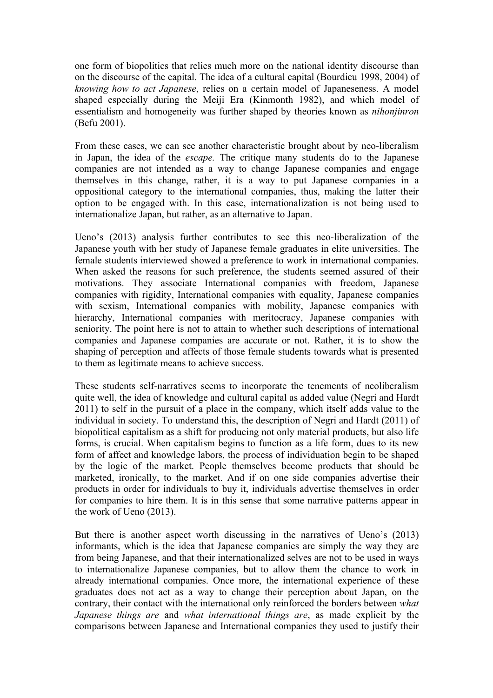one form of biopolitics that relies much more on the national identity discourse than on the discourse of the capital. The idea of a cultural capital (Bourdieu 1998, 2004) of *knowing how to act Japanese*, relies on a certain model of Japaneseness. A model shaped especially during the Meiji Era (Kinmonth 1982), and which model of essentialism and homogeneity was further shaped by theories known as *nihonjinron* (Befu 2001).

From these cases, we can see another characteristic brought about by neo-liberalism in Japan, the idea of the *escape.* The critique many students do to the Japanese companies are not intended as a way to change Japanese companies and engage themselves in this change, rather, it is a way to put Japanese companies in a oppositional category to the international companies, thus, making the latter their option to be engaged with. In this case, internationalization is not being used to internationalize Japan, but rather, as an alternative to Japan.

Ueno's (2013) analysis further contributes to see this neo-liberalization of the Japanese youth with her study of Japanese female graduates in elite universities. The female students interviewed showed a preference to work in international companies. When asked the reasons for such preference, the students seemed assured of their motivations. They associate International companies with freedom, Japanese companies with rigidity, International companies with equality, Japanese companies with sexism, International companies with mobility, Japanese companies with hierarchy, International companies with meritocracy, Japanese companies with seniority. The point here is not to attain to whether such descriptions of international companies and Japanese companies are accurate or not. Rather, it is to show the shaping of perception and affects of those female students towards what is presented to them as legitimate means to achieve success.

These students self-narratives seems to incorporate the tenements of neoliberalism quite well, the idea of knowledge and cultural capital as added value (Negri and Hardt 2011) to self in the pursuit of a place in the company, which itself adds value to the individual in society. To understand this, the description of Negri and Hardt (2011) of biopolitical capitalism as a shift for producing not only material products, but also life forms, is crucial. When capitalism begins to function as a life form, dues to its new form of affect and knowledge labors, the process of individuation begin to be shaped by the logic of the market. People themselves become products that should be marketed, ironically, to the market. And if on one side companies advertise their products in order for individuals to buy it, individuals advertise themselves in order for companies to hire them. It is in this sense that some narrative patterns appear in the work of Ueno (2013).

But there is another aspect worth discussing in the narratives of Ueno's (2013) informants, which is the idea that Japanese companies are simply the way they are from being Japanese, and that their internationalized selves are not to be used in ways to internationalize Japanese companies, but to allow them the chance to work in already international companies. Once more, the international experience of these graduates does not act as a way to change their perception about Japan, on the contrary, their contact with the international only reinforced the borders between *what Japanese things are* and *what international things are*, as made explicit by the comparisons between Japanese and International companies they used to justify their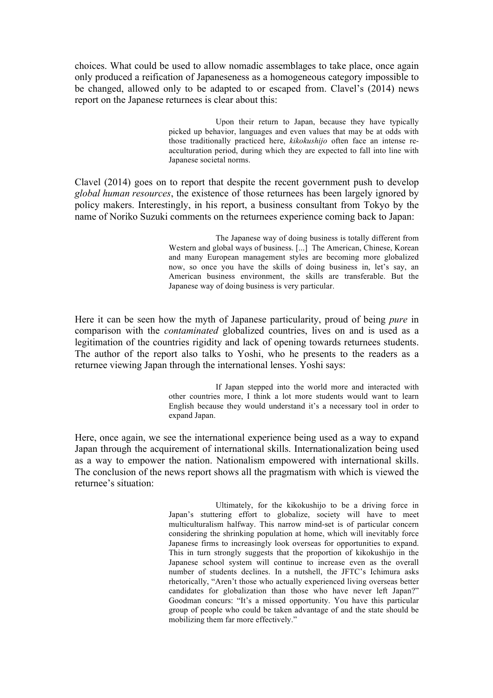choices. What could be used to allow nomadic assemblages to take place, once again only produced a reification of Japaneseness as a homogeneous category impossible to be changed, allowed only to be adapted to or escaped from. Clavel's (2014) news report on the Japanese returnees is clear about this:

> Upon their return to Japan, because they have typically picked up behavior, languages and even values that may be at odds with those traditionally practiced here, *kikokushijo* often face an intense reacculturation period, during which they are expected to fall into line with Japanese societal norms.

Clavel (2014) goes on to report that despite the recent government push to develop *global human resources*, the existence of those returnees has been largely ignored by policy makers. Interestingly, in his report, a business consultant from Tokyo by the name of Noriko Suzuki comments on the returnees experience coming back to Japan:

> The Japanese way of doing business is totally different from Western and global ways of business. [...] The American, Chinese, Korean and many European management styles are becoming more globalized now, so once you have the skills of doing business in, let's say, an American business environment, the skills are transferable. But the Japanese way of doing business is very particular.

Here it can be seen how the myth of Japanese particularity, proud of being *pure* in comparison with the *contaminated* globalized countries, lives on and is used as a legitimation of the countries rigidity and lack of opening towards returnees students. The author of the report also talks to Yoshi, who he presents to the readers as a returnee viewing Japan through the international lenses. Yoshi says:

> If Japan stepped into the world more and interacted with other countries more, I think a lot more students would want to learn English because they would understand it's a necessary tool in order to expand Japan.

Here, once again, we see the international experience being used as a way to expand Japan through the acquirement of international skills. Internationalization being used as a way to empower the nation. Nationalism empowered with international skills. The conclusion of the news report shows all the pragmatism with which is viewed the returnee's situation:

> Ultimately, for the kikokushijo to be a driving force in Japan's stuttering effort to globalize, society will have to meet multiculturalism halfway. This narrow mind-set is of particular concern considering the shrinking population at home, which will inevitably force Japanese firms to increasingly look overseas for opportunities to expand. This in turn strongly suggests that the proportion of kikokushijo in the Japanese school system will continue to increase even as the overall number of students declines. In a nutshell, the JFTC's Ichimura asks rhetorically, "Aren't those who actually experienced living overseas better candidates for globalization than those who have never left Japan?" Goodman concurs: "It's a missed opportunity. You have this particular group of people who could be taken advantage of and the state should be mobilizing them far more effectively."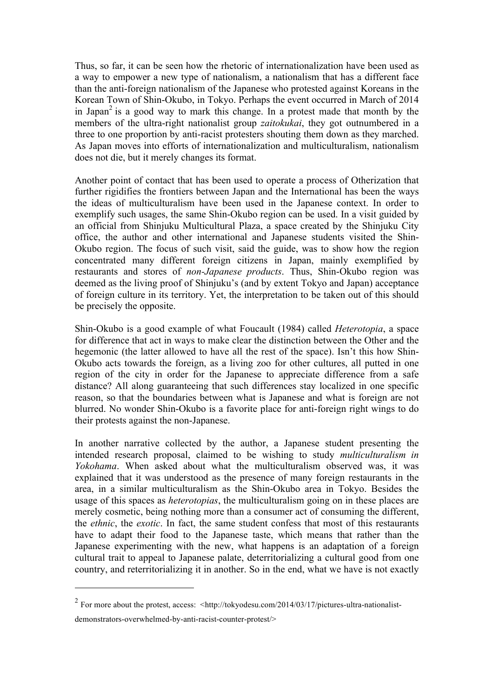Thus, so far, it can be seen how the rhetoric of internationalization have been used as a way to empower a new type of nationalism, a nationalism that has a different face than the anti-foreign nationalism of the Japanese who protested against Koreans in the Korean Town of Shin-Okubo, in Tokyo. Perhaps the event occurred in March of 2014 in Japan<sup>2</sup> is a good way to mark this change. In a protest made that month by the members of the ultra-right nationalist group *zaitokukai*, they got outnumbered in a three to one proportion by anti-racist protesters shouting them down as they marched. As Japan moves into efforts of internationalization and multiculturalism, nationalism does not die, but it merely changes its format.

Another point of contact that has been used to operate a process of Otherization that further rigidifies the frontiers between Japan and the International has been the ways the ideas of multiculturalism have been used in the Japanese context. In order to exemplify such usages, the same Shin-Okubo region can be used. In a visit guided by an official from Shinjuku Multicultural Plaza, a space created by the Shinjuku City office, the author and other international and Japanese students visited the Shin-Okubo region. The focus of such visit, said the guide, was to show how the region concentrated many different foreign citizens in Japan, mainly exemplified by restaurants and stores of *non-Japanese products*. Thus, Shin-Okubo region was deemed as the living proof of Shinjuku's (and by extent Tokyo and Japan) acceptance of foreign culture in its territory. Yet, the interpretation to be taken out of this should be precisely the opposite.

Shin-Okubo is a good example of what Foucault (1984) called *Heterotopia*, a space for difference that act in ways to make clear the distinction between the Other and the hegemonic (the latter allowed to have all the rest of the space). Isn't this how Shin-Okubo acts towards the foreign, as a living zoo for other cultures, all putted in one region of the city in order for the Japanese to appreciate difference from a safe distance? All along guaranteeing that such differences stay localized in one specific reason, so that the boundaries between what is Japanese and what is foreign are not blurred. No wonder Shin-Okubo is a favorite place for anti-foreign right wings to do their protests against the non-Japanese.

In another narrative collected by the author, a Japanese student presenting the intended research proposal, claimed to be wishing to study *multiculturalism in Yokohama*. When asked about what the multiculturalism observed was, it was explained that it was understood as the presence of many foreign restaurants in the area, in a similar multiculturalism as the Shin-Okubo area in Tokyo. Besides the usage of this spaces as *heterotopias*, the multiculturalism going on in these places are merely cosmetic, being nothing more than a consumer act of consuming the different, the *ethnic*, the *exotic*. In fact, the same student confess that most of this restaurants have to adapt their food to the Japanese taste, which means that rather than the Japanese experimenting with the new, what happens is an adaptation of a foreign cultural trait to appeal to Japanese palate, deterritorializing a cultural good from one country, and reterritorializing it in another. So in the end, what we have is not exactly

 $\overline{a}$ 

 $2$  For more about the protest, access:  $\lt$ http://tokyodesu.com/2014/03/17/pictures-ultra-nationalistdemonstrators-overwhelmed-by-anti-racist-counter-protest/>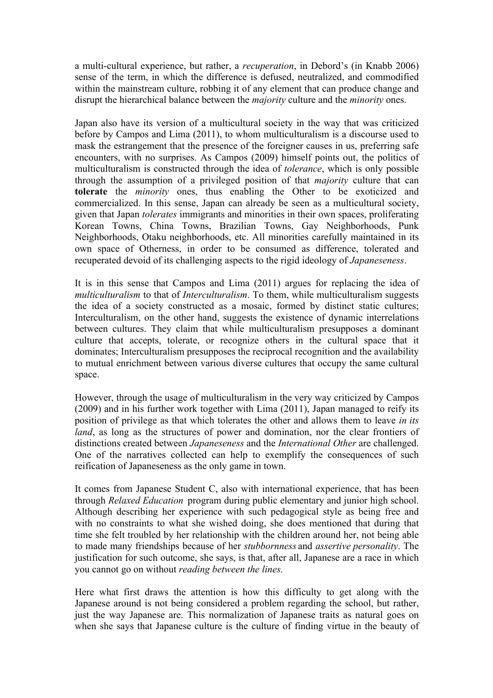a multi-cultural experience, but rather, a *recuperation*, in Debord's (in Knabb 2006) sense of the term, in which the difference is defused, neutralized, and commodified within the mainstream culture, robbing it of any element that can produce change and disrupt the hierarchical balance between the *majority* culture and the *minority* ones.

Japan also have its version of a multicultural society in the way that was criticized before by Campos and Lima (2011), to whom multiculturalism is a discourse used to mask the estrangement that the presence of the foreigner causes in us, preferring safe encounters, with no surprises. As Campos (2009) himself points out, the politics of multiculturalism is constructed through the idea of *tolerance*, which is only possible through the assumption of a privileged position of that *majority* culture that can **tolerate** the *minority* ones, thus enabling the Other to be exoticized and commercialized. In this sense, Japan can already be seen as a multicultural society, given that Japan *tolerates* immigrants and minorities in their own spaces, proliferating Korean Towns, China Towns, Brazilian Towns, Gay Neighborhoods, Punk Neighborhoods, Otaku neighborhoods, etc. All minorities carefully maintained in its own space of Otherness, in order to be consumed as difference, tolerated and recuperated devoid of its challenging aspects to the rigid ideology of *Japaneseness*.

It is in this sense that Campos and Lima (2011) argues for replacing the idea of *multiculturalism* to that of *Interculturalism*. To them, while multiculturalism suggests the idea of a society constructed as a mosaic, formed by distinct static cultures; Interculturalism, on the other hand, suggests the existence of dynamic interrelations between cultures. They claim that while multiculturalism presupposes a dominant culture that accepts, tolerate, or recognize others in the cultural space that it dominates; Interculturalism presupposes the reciprocal recognition and the availability to mutual enrichment between various diverse cultures that occupy the same cultural space.

However, through the usage of multiculturalism in the very way criticized by Campos (2009) and in his further work together with Lima (2011), Japan managed to reify its position of privilege as that which tolerates the other and allows them to leave *in its land*, as long as the structures of power and domination, nor the clear frontiers of distinctions created between *Japaneseness* and the *International Other* are challenged. One of the narratives collected can help to exemplify the consequences of such reification of Japaneseness as the only game in town.

It comes from Japanese Student C, also with international experience, that has been through *Relaxed Education* program during public elementary and junior high school. Although describing her experience with such pedagogical style as being free and with no constraints to what she wished doing, she does mentioned that during that time she felt troubled by her relationship with the children around her, not being able to made many friendships because of her *stubbornness* and *assertive personality*. The justification for such outcome, she says, is that, after all, Japanese are a race in which you cannot go on without *reading between the lines.* 

Here what first draws the attention is how this difficulty to get along with the Japanese around is not being considered a problem regarding the school, but rather, just the way Japanese are. This normalization of Japanese traits as natural goes on when she says that Japanese culture is the culture of finding virtue in the beauty of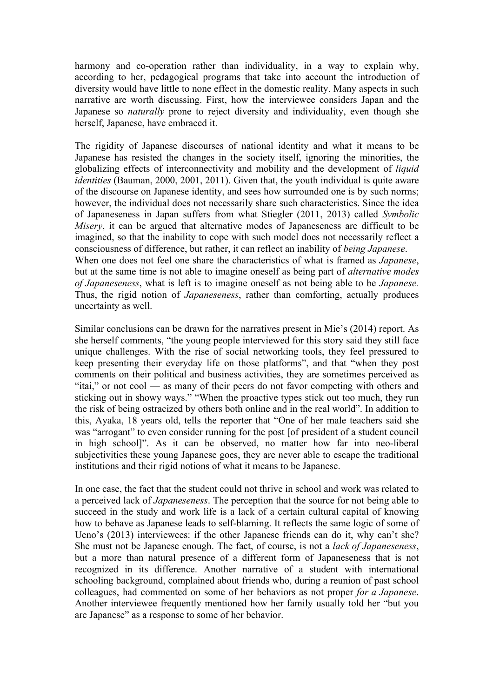harmony and co-operation rather than individuality, in a way to explain why, according to her, pedagogical programs that take into account the introduction of diversity would have little to none effect in the domestic reality. Many aspects in such narrative are worth discussing. First, how the interviewee considers Japan and the Japanese so *naturally* prone to reject diversity and individuality, even though she herself, Japanese, have embraced it.

The rigidity of Japanese discourses of national identity and what it means to be Japanese has resisted the changes in the society itself, ignoring the minorities, the globalizing effects of interconnectivity and mobility and the development of *liquid identities* (Bauman, 2000, 2001, 2011). Given that, the youth individual is quite aware of the discourse on Japanese identity, and sees how surrounded one is by such norms; however, the individual does not necessarily share such characteristics. Since the idea of Japaneseness in Japan suffers from what Stiegler (2011, 2013) called *Symbolic Misery*, it can be argued that alternative modes of Japaneseness are difficult to be imagined, so that the inability to cope with such model does not necessarily reflect a consciousness of difference, but rather, it can reflect an inability of *being Japanese*. When one does not feel one share the characteristics of what is framed as *Japanese*, but at the same time is not able to imagine oneself as being part of *alternative modes of Japaneseness*, what is left is to imagine oneself as not being able to be *Japanese.*  Thus, the rigid notion of *Japaneseness*, rather than comforting, actually produces uncertainty as well.

Similar conclusions can be drawn for the narratives present in Mie's (2014) report. As she herself comments, "the young people interviewed for this story said they still face unique challenges. With the rise of social networking tools, they feel pressured to keep presenting their everyday life on those platforms", and that "when they post comments on their political and business activities, they are sometimes perceived as "itai," or not cool — as many of their peers do not favor competing with others and sticking out in showy ways." "When the proactive types stick out too much, they run the risk of being ostracized by others both online and in the real world". In addition to this, Ayaka, 18 years old, tells the reporter that "One of her male teachers said she was "arrogant" to even consider running for the post [of president of a student council in high school]". As it can be observed, no matter how far into neo-liberal subjectivities these young Japanese goes, they are never able to escape the traditional institutions and their rigid notions of what it means to be Japanese.

In one case, the fact that the student could not thrive in school and work was related to a perceived lack of *Japaneseness*. The perception that the source for not being able to succeed in the study and work life is a lack of a certain cultural capital of knowing how to behave as Japanese leads to self-blaming. It reflects the same logic of some of Ueno's (2013) interviewees: if the other Japanese friends can do it, why can't she? She must not be Japanese enough. The fact, of course, is not a *lack of Japaneseness*, but a more than natural presence of a different form of Japaneseness that is not recognized in its difference. Another narrative of a student with international schooling background, complained about friends who, during a reunion of past school colleagues, had commented on some of her behaviors as not proper *for a Japanese*. Another interviewee frequently mentioned how her family usually told her "but you are Japanese" as a response to some of her behavior.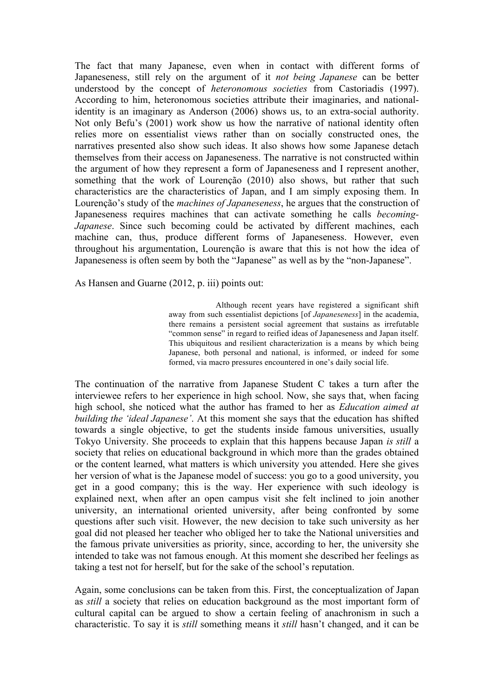The fact that many Japanese, even when in contact with different forms of Japaneseness, still rely on the argument of it *not being Japanese* can be better understood by the concept of *heteronomous societies* from Castoriadis (1997). According to him, heteronomous societies attribute their imaginaries, and nationalidentity is an imaginary as Anderson (2006) shows us, to an extra-social authority. Not only Befu's (2001) work show us how the narrative of national identity often relies more on essentialist views rather than on socially constructed ones, the narratives presented also show such ideas. It also shows how some Japanese detach themselves from their access on Japaneseness. The narrative is not constructed within the argument of how they represent a form of Japaneseness and I represent another, something that the work of Lourenção (2010) also shows, but rather that such characteristics are the characteristics of Japan, and I am simply exposing them. In Lourenção's study of the *machines of Japaneseness*, he argues that the construction of Japaneseness requires machines that can activate something he calls *becoming-Japanese*. Since such becoming could be activated by different machines, each machine can, thus, produce different forms of Japaneseness. However, even throughout his argumentation, Lourenção is aware that this is not how the idea of Japaneseness is often seem by both the "Japanese" as well as by the "non-Japanese".

As Hansen and Guarne (2012, p. iii) points out:

Although recent years have registered a significant shift away from such essentialist depictions [of *Japaneseness*] in the academia, there remains a persistent social agreement that sustains as irrefutable "common sense" in regard to reified ideas of Japaneseness and Japan itself. This ubiquitous and resilient characterization is a means by which being Japanese, both personal and national, is informed, or indeed for some formed, via macro pressures encountered in one's daily social life.

The continuation of the narrative from Japanese Student C takes a turn after the interviewee refers to her experience in high school. Now, she says that, when facing high school, she noticed what the author has framed to her as *Education aimed at building the 'ideal Japanese'*. At this moment she says that the education has shifted towards a single objective, to get the students inside famous universities, usually Tokyo University. She proceeds to explain that this happens because Japan *is still* a society that relies on educational background in which more than the grades obtained or the content learned, what matters is which university you attended. Here she gives her version of what is the Japanese model of success: you go to a good university, you get in a good company; this is the way. Her experience with such ideology is explained next, when after an open campus visit she felt inclined to join another university, an international oriented university, after being confronted by some questions after such visit. However, the new decision to take such university as her goal did not pleased her teacher who obliged her to take the National universities and the famous private universities as priority, since, according to her, the university she intended to take was not famous enough. At this moment she described her feelings as taking a test not for herself, but for the sake of the school's reputation.

Again, some conclusions can be taken from this. First, the conceptualization of Japan as *still* a society that relies on education background as the most important form of cultural capital can be argued to show a certain feeling of anachronism in such a characteristic. To say it is *still* something means it *still* hasn't changed, and it can be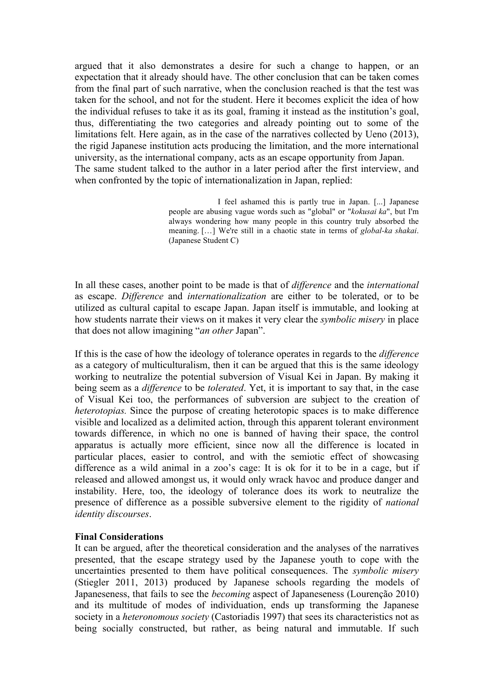argued that it also demonstrates a desire for such a change to happen, or an expectation that it already should have. The other conclusion that can be taken comes from the final part of such narrative, when the conclusion reached is that the test was taken for the school, and not for the student. Here it becomes explicit the idea of how the individual refuses to take it as its goal, framing it instead as the institution's goal, thus, differentiating the two categories and already pointing out to some of the limitations felt. Here again, as in the case of the narratives collected by Ueno (2013), the rigid Japanese institution acts producing the limitation, and the more international university, as the international company, acts as an escape opportunity from Japan. The same student talked to the author in a later period after the first interview, and when confronted by the topic of internationalization in Japan, replied:

> I feel ashamed this is partly true in Japan. [...] Japanese people are abusing vague words such as "global" or "*kokusai ka*", but I'm always wondering how many people in this country truly absorbed the meaning. […] We're still in a chaotic state in terms of *global-ka shakai*. (Japanese Student C)

In all these cases, another point to be made is that of *difference* and the *international* as escape. *Difference* and *internationalization* are either to be tolerated, or to be utilized as cultural capital to escape Japan. Japan itself is immutable, and looking at how students narrate their views on it makes it very clear the *symbolic misery* in place that does not allow imagining "*an other* Japan".

If this is the case of how the ideology of tolerance operates in regards to the *difference* as a category of multiculturalism, then it can be argued that this is the same ideology working to neutralize the potential subversion of Visual Kei in Japan. By making it being seem as a *difference* to be *tolerated*. Yet, it is important to say that, in the case of Visual Kei too, the performances of subversion are subject to the creation of *heterotopias.* Since the purpose of creating heterotopic spaces is to make difference visible and localized as a delimited action, through this apparent tolerant environment towards difference, in which no one is banned of having their space, the control apparatus is actually more efficient, since now all the difference is located in particular places, easier to control, and with the semiotic effect of showcasing difference as a wild animal in a zoo's cage: It is ok for it to be in a cage, but if released and allowed amongst us, it would only wrack havoc and produce danger and instability. Here, too, the ideology of tolerance does its work to neutralize the presence of difference as a possible subversive element to the rigidity of *national identity discourses*.

# **Final Considerations**

It can be argued, after the theoretical consideration and the analyses of the narratives presented, that the escape strategy used by the Japanese youth to cope with the uncertainties presented to them have political consequences. The *symbolic misery* (Stiegler 2011, 2013) produced by Japanese schools regarding the models of Japaneseness, that fails to see the *becoming* aspect of Japaneseness (Lourenção 2010) and its multitude of modes of individuation, ends up transforming the Japanese society in a *heteronomous society* (Castoriadis 1997) that sees its characteristics not as being socially constructed, but rather, as being natural and immutable. If such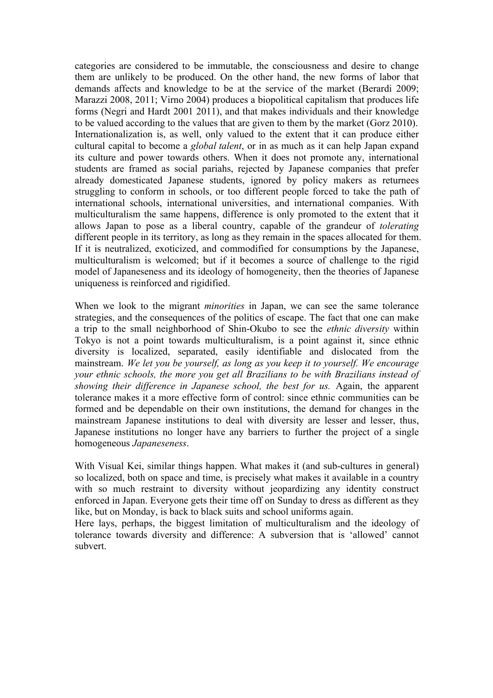categories are considered to be immutable, the consciousness and desire to change them are unlikely to be produced. On the other hand, the new forms of labor that demands affects and knowledge to be at the service of the market (Berardi 2009; Marazzi 2008, 2011; Virno 2004) produces a biopolitical capitalism that produces life forms (Negri and Hardt 2001 2011), and that makes individuals and their knowledge to be valued according to the values that are given to them by the market (Gorz 2010). Internationalization is, as well, only valued to the extent that it can produce either cultural capital to become a *global talent*, or in as much as it can help Japan expand its culture and power towards others. When it does not promote any, international students are framed as social pariahs, rejected by Japanese companies that prefer already domesticated Japanese students, ignored by policy makers as returnees struggling to conform in schools, or too different people forced to take the path of international schools, international universities, and international companies. With multiculturalism the same happens, difference is only promoted to the extent that it allows Japan to pose as a liberal country, capable of the grandeur of *tolerating* different people in its territory, as long as they remain in the spaces allocated for them. If it is neutralized, exoticized, and commodified for consumptions by the Japanese, multiculturalism is welcomed; but if it becomes a source of challenge to the rigid model of Japaneseness and its ideology of homogeneity, then the theories of Japanese uniqueness is reinforced and rigidified.

When we look to the migrant *minorities* in Japan, we can see the same tolerance strategies, and the consequences of the politics of escape. The fact that one can make a trip to the small neighborhood of Shin-Okubo to see the *ethnic diversity* within Tokyo is not a point towards multiculturalism, is a point against it, since ethnic diversity is localized, separated, easily identifiable and dislocated from the mainstream. *We let you be yourself, as long as you keep it to yourself. We encourage your ethnic schools, the more you get all Brazilians to be with Brazilians instead of showing their difference in Japanese school, the best for us.* Again, the apparent tolerance makes it a more effective form of control: since ethnic communities can be formed and be dependable on their own institutions, the demand for changes in the mainstream Japanese institutions to deal with diversity are lesser and lesser, thus, Japanese institutions no longer have any barriers to further the project of a single homogeneous *Japaneseness*.

With Visual Kei, similar things happen. What makes it (and sub-cultures in general) so localized, both on space and time, is precisely what makes it available in a country with so much restraint to diversity without jeopardizing any identity construct enforced in Japan. Everyone gets their time off on Sunday to dress as different as they like, but on Monday, is back to black suits and school uniforms again.

Here lays, perhaps, the biggest limitation of multiculturalism and the ideology of tolerance towards diversity and difference: A subversion that is 'allowed' cannot subvert.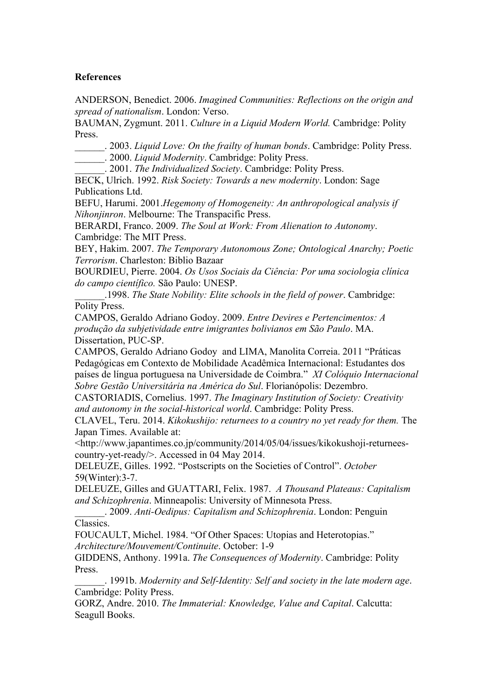### **References**

ANDERSON, Benedict. 2006. *Imagined Communities: Reflections on the origin and spread of nationalism*. London: Verso.

BAUMAN, Zygmunt. 2011. *Culture in a Liquid Modern World.* Cambridge: Polity Press.

\_\_\_\_\_\_. 2003. *Liquid Love: On the frailty of human bonds*. Cambridge: Polity Press.

\_\_\_\_\_\_. 2000. *Liquid Modernity*. Cambridge: Polity Press.

\_\_\_\_\_\_. 2001. *The Individualized Society*. Cambridge: Polity Press.

BECK, Ulrich. 1992. *Risk Society: Towards a new modernity*. London: Sage Publications Ltd.

BEFU, Harumi. 2001.*Hegemony of Homogeneity: An anthropological analysis if Nihonjinron*. Melbourne: The Transpacific Press.

BERARDI, Franco. 2009. *The Soul at Work: From Alienation to Autonomy*. Cambridge: The MIT Press.

BEY, Hakim. 2007. *The Temporary Autonomous Zone; Ontological Anarchy; Poetic Terrorism*. Charleston: Biblio Bazaar

BOURDIEU, Pierre. 2004. *Os Usos Sociais da Ciência: Por uma sociologia clínica do campo científico.* São Paulo: UNESP.

\_\_\_\_\_\_.1998. *The State Nobility: Elite schools in the field of power*. Cambridge: Polity Press.

CAMPOS, Geraldo Adriano Godoy. 2009. *Entre Devires e Pertencimentos: A produção da subjetividade entre imigrantes bolivianos em São Paulo*. MA. Dissertation, PUC-SP.

CAMPOS, Geraldo Adriano Godoy and LIMA, Manolita Correia. 2011 "Práticas Pedagógicas em Contexto de Mobilidade Acadêmica Internacional: Estudantes dos países de língua portuguesa na Universidade de Coimbra." *XI Colóquio Internacional Sobre Gestão Universitária na América do Sul*. Florianópolis: Dezembro.

CASTORIADIS, Cornelius. 1997. *The Imaginary Institution of Society: Creativity and autonomy in the social-historical world*. Cambridge: Polity Press.

CLAVEL, Teru. 2014. *Kikokushijo: returnees to a country no yet ready for them.* The Japan Times. Available at:

<http://www.japantimes.co.jp/community/2014/05/04/issues/kikokushoji-returneescountry-yet-ready/>. Accessed in 04 May 2014.

DELEUZE, Gilles. 1992. "Postscripts on the Societies of Control". *October* 59(Winter):3-7.

DELEUZE, Gilles and GUATTARI, Felix. 1987. *A Thousand Plateaus: Capitalism and Schizophrenia*. Minneapolis: University of Minnesota Press.

\_\_\_\_\_\_. 2009. *Anti-Oedipus: Capitalism and Schizophrenia*. London: Penguin Classics.

FOUCAULT, Michel. 1984. "Of Other Spaces: Utopias and Heterotopias." *Architecture/Mouvement/Continuite*. October: 1-9

GIDDENS, Anthony. 1991a. *The Consequences of Modernity*. Cambridge: Polity Press.

\_\_\_\_\_\_. 1991b. *Modernity and Self-Identity: Self and society in the late modern age*. Cambridge: Polity Press.

GORZ, Andre. 2010. *The Immaterial: Knowledge, Value and Capital*. Calcutta: Seagull Books.